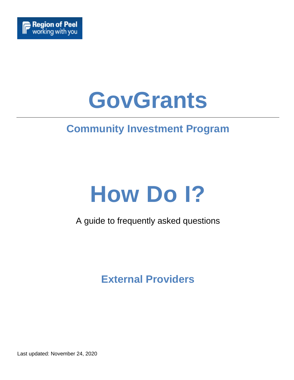

# **GovGrants**

# **Community Investment Program**

# **How Do I?**

# A guide to frequently asked questions

# **External Providers**

Last updated: November 24, 2020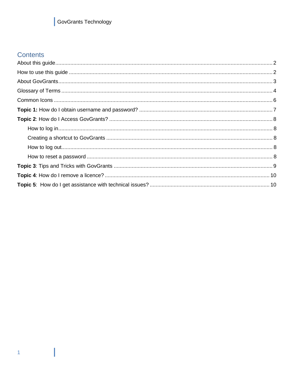# GovGrants Technology

## <span id="page-1-0"></span>Contents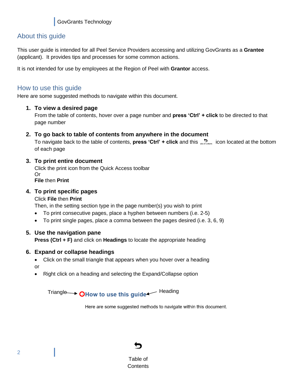## <span id="page-2-0"></span>About this guide

This user guide is intended for all Peel Service Providers accessing and utilizing GovGrants as a **Grantee** (applicant). It provides tips and processes for some common actions.

It is not intended for use by employees at the Region of Peel with **Grantor** access.

## <span id="page-2-1"></span>How to use this guide

Here are some suggested methods to navigate within this document.

## **1. To view a desired page**

From the table of contents, hover over a page number and **press 'Ctrl' + click** to be directed to that page number

## **2. To go back to table of contents from anywhere in the document**

To navigate back to the table of contents, **press 'Ctrl' + click** and this **production** icon located at the bottom of each page

## **3. To print entire document**

Click the print icon from the Quick Access toolbar Or **File** then **Print**

## **4. To print specific pages**

## Click **File** then **Print**

Then, in the setting section type in the page number(s) you wish to print

- To print consecutive pages, place a hyphen between numbers (i.e. 2-5)
- To print single pages, place a comma between the pages desired (i.e. 3, 6, 9)

## **5. Use the navigation pane**

**Press (Ctrl + F)** and click on **Headings** to locate the appropriate heading

## **6. Expand or collapse headings**

- Click on the small triangle that appears when you hover over a heading or
- Right click on a heading and selecting the Expand/Collapse option

Triangle  $\rightarrow$   $\Omega$ How to use this quide  $\rightarrow$  Heading

Here are some suggested methods to navigate within this document.

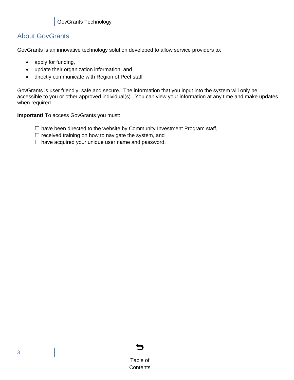## <span id="page-3-0"></span>About GovGrants

GovGrants is an innovative technology solution developed to allow service providers to:

- apply for funding,
- update their organization information, and
- directly communicate with Region of Peel staff

GovGrants is user friendly, safe and secure. The information that you input into the system will only be accessible to you or other approved individual(s). You can view your information at any time and make updates when required.

**Important!** To access GovGrants you must:

 $\Box$  have been directed to the website by Community Investment Program staff,

 $\Box$  received training on how to navigate the system, and

 $\Box$  have acquired your unique user name and password.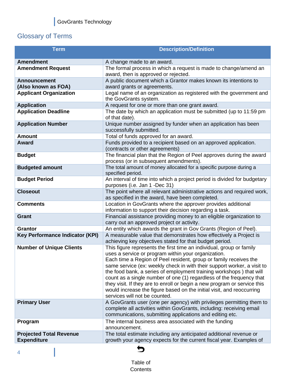# <span id="page-4-0"></span>Glossary of Terms

| <b>Term</b>                                          | <b>Description/Definition</b>                                                                                                                                                                                                                                                                                                                                                                                                                                                                                                                                                                                    |
|------------------------------------------------------|------------------------------------------------------------------------------------------------------------------------------------------------------------------------------------------------------------------------------------------------------------------------------------------------------------------------------------------------------------------------------------------------------------------------------------------------------------------------------------------------------------------------------------------------------------------------------------------------------------------|
| <b>Amendment</b>                                     | A change made to an award.                                                                                                                                                                                                                                                                                                                                                                                                                                                                                                                                                                                       |
| <b>Amendment Request</b>                             | The formal process in which a request is made to change/amend an<br>award, then is approved or rejected.                                                                                                                                                                                                                                                                                                                                                                                                                                                                                                         |
| <b>Announcement</b>                                  | A public document which a Grantor makes known its intentions to                                                                                                                                                                                                                                                                                                                                                                                                                                                                                                                                                  |
| (Also known as FOA)                                  | award grants or agreements.                                                                                                                                                                                                                                                                                                                                                                                                                                                                                                                                                                                      |
| <b>Applicant Organization</b>                        | Legal name of an organization as registered with the government and<br>the GovGrants system.                                                                                                                                                                                                                                                                                                                                                                                                                                                                                                                     |
| <b>Application</b>                                   | A request for one or more than one grant award.                                                                                                                                                                                                                                                                                                                                                                                                                                                                                                                                                                  |
| <b>Application Deadline</b>                          | The date by which an application must be submitted (up to 11:59 pm<br>of that date).                                                                                                                                                                                                                                                                                                                                                                                                                                                                                                                             |
| <b>Application Number</b>                            | Unique number assigned by funder when an application has been<br>successfully submitted.                                                                                                                                                                                                                                                                                                                                                                                                                                                                                                                         |
| <b>Amount</b>                                        | Total of funds approved for an award.                                                                                                                                                                                                                                                                                                                                                                                                                                                                                                                                                                            |
| <b>Award</b>                                         | Funds provided to a recipient based on an approved application.<br>(contracts or other agreements)                                                                                                                                                                                                                                                                                                                                                                                                                                                                                                               |
| <b>Budget</b>                                        | The financial plan that the Region of Peel approves during the award<br>process (or in subsequent amendments).                                                                                                                                                                                                                                                                                                                                                                                                                                                                                                   |
| <b>Budgeted amount</b>                               | The total amount of money allocated for a specific purpose during a<br>specified period.                                                                                                                                                                                                                                                                                                                                                                                                                                                                                                                         |
| <b>Budget Period</b>                                 | An interval of time into which a project period is divided for budgetary<br>purposes (i.e. Jan 1 -Dec 31)                                                                                                                                                                                                                                                                                                                                                                                                                                                                                                        |
| <b>Closeout</b>                                      | The point where all relevant administrative actions and required work,<br>as specified in the award, have been completed.                                                                                                                                                                                                                                                                                                                                                                                                                                                                                        |
| <b>Comments</b>                                      | Location in GovGrants where the approver provides additional<br>information to support their decision regarding a task.                                                                                                                                                                                                                                                                                                                                                                                                                                                                                          |
| <b>Grant</b>                                         | Financial assistance providing money to an eligible organization to<br>carry out an approved project or activity.                                                                                                                                                                                                                                                                                                                                                                                                                                                                                                |
| <b>Grantor</b>                                       | An entity which awards the grant in Gov Grants (Region of Peel).                                                                                                                                                                                                                                                                                                                                                                                                                                                                                                                                                 |
| <b>Key Performance Indicator (KPI)</b>               | A measurable value that demonstrates how effectively a Project is<br>achieving key objectives stated for that budget period.                                                                                                                                                                                                                                                                                                                                                                                                                                                                                     |
| <b>Number of Unique Clients</b>                      | This figure represents the first time an individual, group or family<br>uses a service or program within your organization.<br>Each time a Region of Peel resident, group or family receives the<br>same service (ex: weekly check in with their support worker, a visit to<br>the food bank, a series of employment training workshops) that will<br>count as a single number of one (1) regardless of the frequency that<br>they visit. If they are to enroll or begin a new program or service this<br>would increase the figure based on the initial visit, and reoccurring<br>services will not be counted. |
| <b>Primary User</b>                                  | A GovGrants user (one per agency) with privileges permitting them to<br>complete all activities within GovGrants, including: receiving email<br>communications, submitting applications and editing etc.                                                                                                                                                                                                                                                                                                                                                                                                         |
| Program                                              | The internal business area associated with the funding<br>announcement.                                                                                                                                                                                                                                                                                                                                                                                                                                                                                                                                          |
| <b>Projected Total Revenue</b><br><b>Expenditure</b> | The total estimate including any anticipated additional revenue or<br>growth your agency expects for the current fiscal year. Examples of                                                                                                                                                                                                                                                                                                                                                                                                                                                                        |

4

# $\blacktriangleright$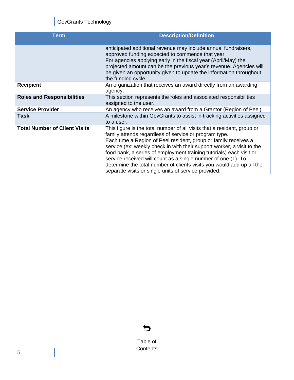# GovGrants Technology

| <b>Term</b>                          | <b>Description/Definition</b>                                                                                                                                                                                                                                                                                                                                                                                                                                                                                                                          |
|--------------------------------------|--------------------------------------------------------------------------------------------------------------------------------------------------------------------------------------------------------------------------------------------------------------------------------------------------------------------------------------------------------------------------------------------------------------------------------------------------------------------------------------------------------------------------------------------------------|
|                                      | anticipated additional revenue may include annual fundraisers,<br>approved funding expected to commence that year<br>For agencies applying early in the fiscal year (April/May) the<br>projected amount can be the previous year's revenue. Agencies will<br>be given an opportunity given to update the information throughout<br>the funding cycle.                                                                                                                                                                                                  |
| <b>Recipient</b>                     | An organization that receives an award directly from an awarding<br>agency.                                                                                                                                                                                                                                                                                                                                                                                                                                                                            |
| <b>Roles and Responsibilities</b>    | This section represents the roles and associated responsibilities<br>assigned to the user.                                                                                                                                                                                                                                                                                                                                                                                                                                                             |
| <b>Service Provider</b>              | An agency who receives an award from a Grantor (Region of Peel).                                                                                                                                                                                                                                                                                                                                                                                                                                                                                       |
| Task                                 | A milestone within GovGrants to assist in tracking activities assigned<br>to a user.                                                                                                                                                                                                                                                                                                                                                                                                                                                                   |
| <b>Total Number of Client Visits</b> | This figure is the total number of all visits that a resident, group or<br>family attends regardless of service or program type.<br>Each time a Region of Peel resident, group or family receives a<br>service (ex: weekly check in with their support worker, a visit to the<br>food bank, a series of employment training tutorials) each visit or<br>service received will count as a single number of one (1). To<br>determine the total number of clients visits you would add up all the<br>separate visits or single units of service provided. |



Table of **[Contents](#page-1-0)**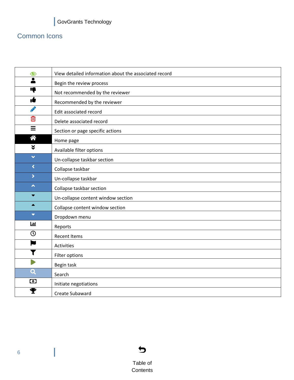# <span id="page-6-0"></span>Common Icons

| ●                       | View detailed information about the associated record |
|-------------------------|-------------------------------------------------------|
| $\overline{\bullet}$    | Begin the review process                              |
| Ę                       | Not recommended by the reviewer                       |
| ıt                      | Recommended by the reviewer                           |
| P                       | Edit associated record                                |
| 血                       | Delete associated record                              |
| $\equiv$                | Section or page specific actions                      |
| 谷                       | Home page                                             |
| $\check{\mathbf{v}}$    | Available filter options                              |
| $\checkmark$            | Un-collapse taskbar section                           |
| $\blacktriangleleft$    | Collapse taskbar                                      |
| $\blacktriangleright$   | Un-collapse taskbar                                   |
| $\blacktriangle$        | Collapse taskbar section                              |
| ▼                       | Un-collapse content window section                    |
| $\blacktriangle$        | Collapse content window section                       |
| $\blacktriangledown$    | Dropdown menu                                         |
| Ш                       | Reports                                               |
| $\odot$                 | <b>Recent Items</b>                                   |
| ×                       | Activities                                            |
|                         | Filter options                                        |
|                         | Begin task                                            |
| $\overline{\mathbf{Q}}$ | Search                                                |
| $\bullet$               | Initiate negotiations                                 |
| Ŧ                       | Create Subaward                                       |

 $\blacktriangleright$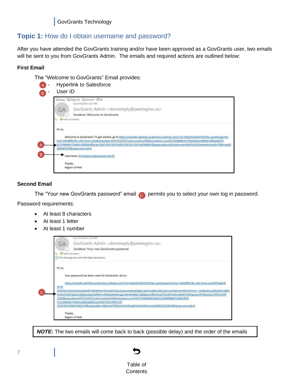GovGrants Technology

## <span id="page-7-0"></span>**Topic 1:** How do I obtain username and password?

After you have attended the GovGrants training and/or have been approved as a GovGrants user, two emails will be sent to you from GovGrants Admin. The emails and required actions are outlined below:

## **First Email**

The "Welcome to GovGrants" Email provides:

|                      | Q Reply Q Reply All C Forward G IM<br>Tue 9/10/2019 12:27 PM                                                                     |
|----------------------|----------------------------------------------------------------------------------------------------------------------------------|
| $(\neg A$            | GovGrants Admin <donotreply@peelregion.ca></donotreply@peelregion.ca>                                                            |
|                      | Sandbox: Welcome to GovGrants                                                                                                    |
| Rahul Sundrani<br>Tα |                                                                                                                                  |
|                      | Welcome to GovGrants! To get started, go to https://nam04.safelinks.protection.outlook.com/?url=https%3A%2F%2Fdev-granteeportal- |
|                      | tso3-165afff823b.cs92.force.com&data=02%7C01%7Crahul.sundrani%40reisystems.com%7Cf2db8824c72b44d5a14d08d7360beb87%               |
|                      | 7C3199644175464120826bdf0c3e239671%7C0%7C0%7C637037297343580997&sdata=IAJhYipPuneeHRq2%2FiOOx4ookHwzs8oTENYncge%                 |
|                      | 2BNAE%3D&reserved=0                                                                                                              |
|                      |                                                                                                                                  |
|                      | Username: firststepsccc@yopmail.com20                                                                                            |
| Thanks,              | Region of Peel                                                                                                                   |

## **Second Email**

The "Your new GovGrants password" email  $\bullet$  permits you to select your own log in password.

Password requirements:

- At least 8 characters
- At least 1 letter
- At least 1 number

cannot be guaranteed

|                | Tue 9/10/2019 12:28 PM                                                                                                       |
|----------------|------------------------------------------------------------------------------------------------------------------------------|
| GA             | GovGrants Admin <donotreply@peelregion.ca></donotreply@peelregion.ca>                                                        |
|                | Sandbox: Your new GovGrants password                                                                                         |
| Rahul Sundrani |                                                                                                                              |
|                | (i) This message was sent with High importance.                                                                              |
|                |                                                                                                                              |
| Hi Liz,        |                                                                                                                              |
|                | Your password has been reset for GovGrants. Go to:                                                                           |
|                | https://nam04.safelinks.protection.outlook.com/?url=https%3A%2F%2Fdev-granteeportal-tso3-165afff823b.cs92.force.com%2Flogin% |
| 3Fc%           |                                                                                                                              |
|                | 3DDYDpYUbYU4nb16y6HxfF16GNEReh7DmaGlr3GcLQySwuto4mqOlgxFLyXwYoxbGCxNC2qrYcnUFA6.tHzxPRs2tYmms UzHbobFuaHbtySkYUI8Kfc         |
|                | VrEAO1iN3FaEgVZUfptqhuEjjcKsjRWrm3XDp64xbMnygLzzNnNi9pNc1cBtgZpwOfb41OoQT4u587stXUwN66TFe9t5goEor8TQDa3ZpJ7A%253D%           |
|                | 253D&data=02%7C01%7Crahul.sundrani%40reisystems.com%7C354696b82d644150688908d7360bcffa%                                      |
|                | 7C3199644175464120826bdf0c3e239671%7C0%7C1%                                                                                  |
|                | 7C637037296670882156&sdata=9S0znAlTfdR1ZmHCn5t2qkOH2okJ8PymxuDG9NTQZ5Q%3D&reserved=0                                         |

*NOTE:* The two emails will come back to back (possible delay) and the order of the emails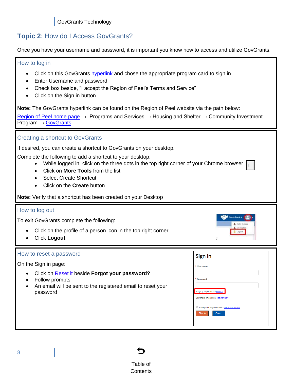## <span id="page-8-0"></span>**Topic 2**: How do I Access GovGrants?

Once you have your username and password, it is important you know how to access and utilize GovGrants.

## <span id="page-8-1"></span>How to log in

- Click on this GovGrants [hyperlink](https://granteeportal-tso3-165afff823b.force.com/SPLandingPage?username=null&_ga=2.36598816.105212560.1572877266-765800622.1567021088) and chose the appropriate program card to sign in
- Enter Username and password
- Check box beside, "I accept the Region of Peel's Terms and Service"
- Click on the Sign in button

**Note:** The GovGrants hyperlink can be found on the Region of Peel website via the path below:

[Region of Peel home page](https://www.peelregion.ca/)  $\rightarrow$  Programs and Services  $\rightarrow$  Housing and Shelter  $\rightarrow$  Community Investment Program → [GovGrants](https://peelregion.ca/community-investments/)

## <span id="page-8-5"></span><span id="page-8-2"></span>Creating a shortcut to GovGrants

If desired, you can create a shortcut to GovGrants on your desktop.

Complete the following to add a shortcut to your desktop:

- While logged in, click on the three dots in the top right corner of your Chrome browser
- Click on **More Tools** from the list
- Select Create Shortcut
- Click on the **Create** button

**Note:** Verify that a shortcut has been created on your Desktop

## <span id="page-8-3"></span>How to log out

To exit GovGrants complete the following:

- Click on the profile of a person icon in the top right corner
- Click **Logout**

#### <span id="page-8-4"></span>How to reset a password

On the Sign in page:

- Click on Reset it beside **Forgot your password?**
- Follow prompts
- An email will be sent to the registered email to reset your password

| Sign In                                                                                     |  |
|---------------------------------------------------------------------------------------------|--|
| * Username:                                                                                 |  |
| * Password:                                                                                 |  |
| Forgot your password? Reset It                                                              |  |
| Don't have an account? Register Now<br>0<br>I accept the Region of Peel's Terms and Service |  |
| Sign In<br>Cancel                                                                           |  |
|                                                                                             |  |

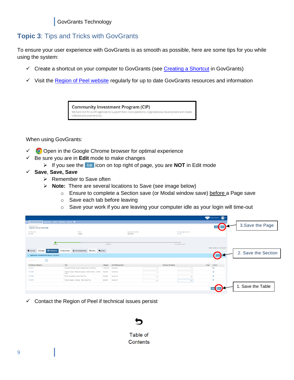## <span id="page-9-0"></span>**Topic 3**: Tips and Tricks with GovGrants

To ensure your user experience with GovGrants is as smooth as possible, here are some tips for you while using the system:

- $\checkmark$  Create a shortcut on your computer to GovGrants (see [Creating a Shortcut](#page-8-5) in GovGrants)
- ✓ Visit the [Region of Peel website](https://peelregion.ca/community-investments/) regularly for up to date GovGrants resources and information



When using GovGrants:

- $\checkmark$  Open in the Google Chrome browser for optimal experience
- ✓ Be sure you are in **Edit** mode to make changes
	- ➢ If you see the icon on top right of page, you are **NOT** in Edit mode
- ✓ **Save**, **Save, Save**
	- ➢ Remember to Save often
	- ➢ **Note:** There are several locations to Save (see image below)
		- o Ensure to complete a Section save (or Modal window save) before a Page save
		- o Save each tab before leaving
		- o Save your work if you are leaving your computer idle as your login will time-out

|                                                                 |                                                                        |                    |                                    |                             |                                  | Grants Portal v 2               |                     |
|-----------------------------------------------------------------|------------------------------------------------------------------------|--------------------|------------------------------------|-----------------------------|----------------------------------|---------------------------------|---------------------|
| Funding Opportunities Applications Grants Monitoring Closecut C |                                                                        |                    |                                    |                             |                                  |                                 |                     |
| Application Title<br><b>Giggles Funding Opportunity</b>         |                                                                        |                    |                                    |                             |                                  |                                 | 3. Save the Page    |
| GovGrants ID<br>AP-105                                          | Status<br>Created                                                      |                    | Application Due Date<br>29/02/2020 |                             | Funding Opportunity ID<br>AN-185 |                                 |                     |
|                                                                 |                                                                        |                    |                                    |                             |                                  |                                 |                     |
| Created                                                         |                                                                        | $-0-$<br>Submitted |                                    |                             | -0<br>Converted to Award         |                                 |                     |
| \$ Budget<br><b>E</b> Performance<br>Overview                   | C Acknowledgement D History<br>Collab<br>Attachments                   |                    |                                    |                             |                                  | Fields marked as * are required |                     |
| - Application Related Performance Indicators                    |                                                                        |                    |                                    |                             |                                  |                                 | 2. Save the Section |
| Q <br>Quick Search                                              |                                                                        |                    |                                    |                             |                                  |                                 |                     |
| Performance Indicator 1                                         | Title:                                                                 | Category           | Unit of Measurement                | <b>Previous Year Actual</b> |                                  | Target<br>Actions               |                     |
| KPI-0474                                                        | Number of Children Served (Licensed Care) (Cumulative)                 | Child Care         | Number (#)                         |                             | 10                               | o                               |                     |
| KPI-0485                                                        | Program Support - Resource Supports - Staff (GLOBAL) - On-Site<br>Time | EarlyON            | Number (#)                         | $\overline{2}$              | $\mathbf{z}$                     | O                               |                     |
| <b>KPI-0488</b>                                                 | Family Consultations - Brief - Total Time                              | EarlyON            | Number (#)                         | 10 <sup>1</sup>             | 20                               | Ð                               |                     |
| KPI-0548                                                        | Program Support - Activities - Total On-site Time                      | EarlyON            | Number (#)                         | 90                          | 100                              | D.                              |                     |
|                                                                 |                                                                        |                    |                                    |                             |                                  |                                 | 1. Save the Table   |
|                                                                 |                                                                        |                    |                                    |                             |                                  |                                 |                     |
|                                                                 |                                                                        |                    |                                    |                             |                                  |                                 |                     |

 $\checkmark$  Contact the Region of Peel if technical issues persist